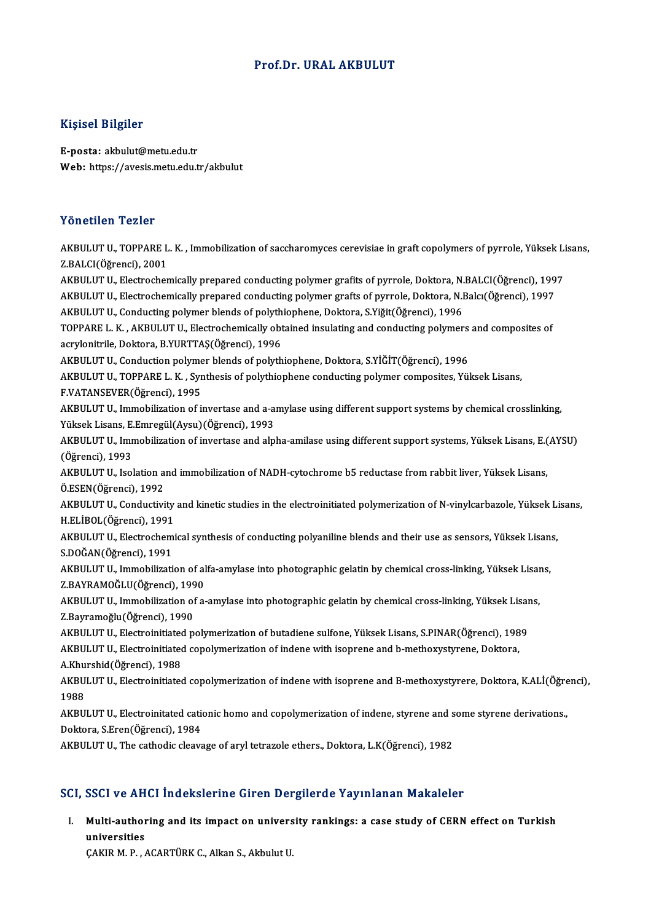## Prof.Dr. URAL AKBULUT

### Kişisel Bilgiler

E-posta: akbulut@metu.edu.tr Web: https://avesis.metu.edu.tr/akbulut

### Yönetilen Tezler

Yönetilen Tezler<br>AKBULUT U., TOPPARE L. K. , Immobilization of saccharomyces cerevisiae in graft copolymers of pyrrole, Yüksek Lisans,<br>Z.BALCI(Öğrensi), 2001 2.BALCICII 1921<br>AKBULUT U., TOPPARE L<br>Z.BALCI(Öğrenci), 2001<br>AKBULUT U. Electrecher AKBULUT U., TOPPARE L. K. , Immobilization of saccharomyces cerevisiae in graft copolymers of pyrrole, Yüksek Li<br>Z.BALCI(Öğrenci), 2001<br>AKBULUT U., Electrochemically prepared conducting polymer grafits of pyrrole, Doktora, Z.BALCI(Öğrenci), 2001<br>AKBULUT U., Electrochemically prepared conducting polymer grafits of pyrrole, Doktora, N.BALCI(Öğrenci), 199<br>AKBULUT U., Electrochemically prepared conducting polymer grafts of pyrrole, Doktora, N.Ba AKBULUT U., Electrochemically prepared conducting polymer grafits of pyrrole, Doktora, N.<br>AKBULUT U., Electrochemically prepared conducting polymer grafts of pyrrole, Doktora, N.I<br>AKBULUT U., Conducting polymer blends of p AKBULUT U., Electrochemically prepared conducting polymer grafts of pyrrole, Doktora, N.Balcı(Öğrenci), 1997<br>AKBULUT U., Conducting polymer blends of polythiophene, Doktora, S.Yiğit(Öğrenci), 1996<br>TOPPARE L. K. , AKBULUT U AKBULUT U., Conducting polymer blends of polyth<br>TOPPARE L. K. , AKBULUT U., Electrochemically obt<br>acrylonitrile, Doktora, B.YURTTAŞ(Öğrenci), 1996<br>AKBULUT U. Conduction polymer blands of polyth TOPPARE L. K. , AKBULUT U., Electrochemically obtained insulating and conducting polymers and composites of<br>acrylonitrile, Doktora, B.YURTTAŞ(Öğrenci), 1996<br>AKBULUT U., Conduction polymer blends of polythiophene, Doktora, acrylonitrile, Doktora, B.YURTTAŞ(Öğrenci), 1996<br>AKBULUT U., Conduction polymer blends of polythiophene, Doktora, S.YİĞİT(Öğrenci), 1996<br>AKBULUT U., TOPPARE L. K. , Synthesis of polythiophene conducting polymer composites, AKBULUT U., Conduction polyme<br>AKBULUT U., TOPPARE L. K. , Syr<br>F.VATANSEVER(Öğrenci), 1995<br>AKBULUT U. Immobilization ef i AKBULUT U., TOPPARE L. K. , Synthesis of polythiophene conducting polymer composites, Yüksek Lisans,<br>F.VATANSEVER(Öğrenci), 1995<br>AKBULUT U., Immobilization of invertase and a-amylase using different support systems by chem F.VATANSEVER(Öğrenci), 1995<br>AKBULUT U., Immobilization of invertase and a-a<br>Yüksek Lisans, E.Emregül(Aysu)(Öğrenci), 1993<br>AKBULUT U. Immobilization of invertase and alp AKBULUT U., Immobilization of invertase and a-amylase using different support systems by chemical crosslinking,<br>Yüksek Lisans, E.Emregül(Aysu)(Öğrenci), 1993<br>AKBULUT U., Immobilization of invertase and alpha-amilase using Yüksek Lisans, E.<br>AKBULUT U., Imr<br>(Öğrenci), 1993<br>AKBULUT U. Jeal AKBULUT U., Immobilization of invertase and alpha-amilase using different support systems, Yüksek Lisans, E.(<br>(Öğrenci), 1993<br>AKBULUT U., Isolation and immobilization of NADH-cytochrome b5 reductase from rabbit liver, Yüks (Öğrenci), 1993<br>AKBULUT U., Isolation and immobilization of NADH-cytochrome b5 reductase from rabbit liver, Yüksek Lisans,<br>Ö.ESEN(Öğrenci), 1992 AKBULUT U., Isolation and immobilization of NADH-cytochrome b5 reductase from rabbit liver, Yüksek Lisans,<br>Ö.ESEN(Öğrenci), 1992<br>AKBULUT U., Conductivity and kinetic studies in the electroinitiated polymerization of N-viny Ö.ESEN(Öğrenci), 1992<br>AKBULUT U., Conductivity<br>H.ELİBOL(Öğrenci), 1991<br>AKBULUT U. Electrochemi AKBULUT U., Conductivity and kinetic studies in the electroinitiated polymerization of N-vinylcarbazole, Yüksek Li<br>H.ELİBOL(Öğrenci), 1991<br>AKBULUT U., Electrochemical synthesis of conducting polyaniline blends and their us H.ELİBOL(Öğrenci), 1991<br>AKBULUT U., Electrochem<br>S.DOĞAN(Öğrenci), 1991<br>AKBULUT U. Immobilizati AKBULUT U., Electrochemical synthesis of conducting polyaniline blends and their use as sensors, Yüksek Lisan<br>S.DOĞAN(Öğrenci), 1991<br>AKBULUT U., Immobilization of alfa-amylase into photographic gelatin by chemical cross-li S.DOĞAN(Öğrenci), 1991<br>AKBULUT U., Immobilization of al<br>Z.BAYRAMOĞLU(Öğrenci), 1990<br>AKBULUT U. Immobilization of a AKBULUT U., Immobilization of alfa-amylase into photographic gelatin by chemical cross-linking, Yüksek Lisan<br>Z.BAYRAMOĞLU(Öğrenci), 1990<br>AKBULUT U., Immobilization of a-amylase into photographic gelatin by chemical cross-l Z.BAYRAMOĞLU(Öğrenci), 199<br>AKBULUT U., Immobilization of<br>Z.Bayramoğlu(Öğrenci), 1990<br>AKBULUT U. Electroinitisted p AKBULUT U., Immobilization of a-amylase into photographic gelatin by chemical cross-linking, Yüksek Lisar<br>Z.Bayramoğlu(Öğrenci), 1990<br>AKBULUT U., Electroinitiated polymerization of butadiene sulfone, Yüksek Lisans, S.PINAR Z.Bayramoğlu(Öğrenci), 1990<br>AKBULUT U., Electroinitiated polymerization of butadiene sulfone, Yüksek Lisans, S.PINAR(Öğrenci), 198<br>AKBULUT U., Electroinitiated copolymerization of indene with isoprene and b-methoxystyrene, AKBULUT U., Electroinitiated<br>AKBULUT U., Electroinitiated<br>A.Khurshid(Öğrenci), 1988<br>AKBULUT U. Electroinitiated AKBULUT U., Electroinitiated copolymerization of indene with isoprene and b-methoxystyrene, Doktora,<br>A.Khurshid(Öğrenci), 1988<br>AKBULUT U., Electroinitiated copolymerization of indene with isoprene and B-methoxystyrere, Dok A Khurshid (Öğrenci), 1988 AKBULUT U., Electroinitiated copolymerization of indene with isoprene and B-methoxystyrere, Doktora, K.ALİ(Öğre<br>1988<br>AKBULUT U., Electroinitated cationic homo and copolymerization of indene, styrene and some styrene deriva 1988<br>AKBULUT U., Electroinitated cation<br>Doktora, S.Eren(Öğrenci), 1984<br>AKRULUT U. The sathodis sleavs AKBULUT U., Electroinitated cationic homo and copolymerization of indene, styrene and s<br>Doktora, S.Eren(Öğrenci), 1984<br>AKBULUT U., The cathodic cleavage of aryl tetrazole ethers., Doktora, L.K(Öğrenci), 1982 AKBULUT U., The cathodic cleavage of aryl tetrazole ethers., Doktora, L.K(Öğrenci), 1982<br>SCI, SSCI ve AHCI İndekslerine Giren Dergilerde Yayınlanan Makaleler

I. Multi-authoring and its impact on university rankings: a case study of CERN effect on Turkish uustiversities<br>Multi-author<br>Universities Multi-authoring and its impact on univers<br>universities<br>ÇAKIR M. P. , ACARTÜRK C., Alkan S., Akbulut U.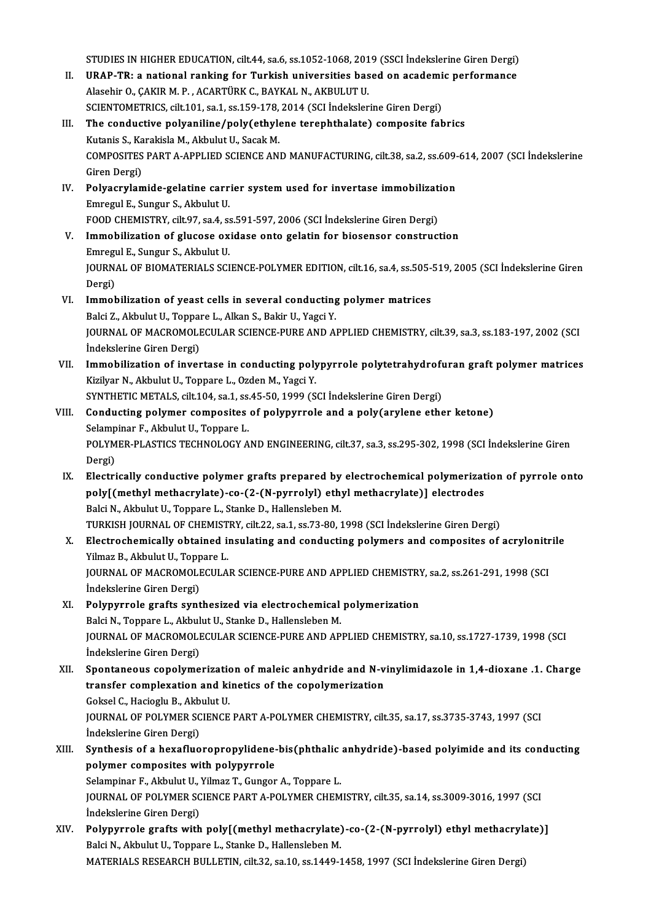STUDIES IN HIGHER EDUCATION, cilt.44, sa.6, ss.1052-1068, 2019 (SSCI İndekslerine Giren Dergi)<br>UPAR TR: a pational ranking fan Turkiab universities based en asademis performanes

- STUDIES IN HIGHER EDUCATION, cilt.44, sa.6, ss.1052-1068, 2019 (SSCI İndekslerine Giren Dergi)<br>II. URAP-TR: a national ranking for Turkish universities based on academic performance STUDIES IN HIGHER EDUCATION, cilt.44, sa.6, ss.1052-1068, 201<br>URAP-TR: a national ranking for Turkish universities bas<br>Alasehir O., ÇAKIR M. P. , ACARTÜRK C., BAYKAL N., AKBULUT U.<br>SCIENTOMETRICS. silt.101, ss.1, ss.150, 1 URAP-TR: a national ranking for Turkish universities based on academi<br>Alasehir O., ÇAKIR M. P. , ACARTÜRK C., BAYKAL N., AKBULUT U.<br>SCIENTOMETRICS, cilt.101, sa.1, ss.159-178, 2014 (SCI İndekslerine Giren Dergi)<br>The conduc Alasehir O., ÇAKIR M. P. , ACARTÜRK C., BAYKAL N., AKBULUT U.<br>SCIENTOMETRICS, cilt.101, sa.1, ss.159-178, 2014 (SCI Indekslerine Giren Dergi)<br>III. The conductive polyaniline/poly(ethylene terephthalate) composite fabrics<br>K
- SCIENTOMETRICS, cilt.101, sa.1, ss.159-178,<br>The conductive polyaniline/poly(ethyle<br>Kutanis S., Karakisla M., Akbulut U., Sacak M.<br>COMPOSITES PAPT A APPLIED SCIENCE ANI The conductive polyaniline/poly(ethylene terephthalate) composite fabrics<br>Kutanis S., Karakisla M., Akbulut U., Sacak M.<br>COMPOSITES PART A-APPLIED SCIENCE AND MANUFACTURING, cilt.38, sa.2, ss.609-614, 2007 (SCI İndekslerin Kutanis S., Ka<br>COMPOSITES<br>Giren Dergi)<br>Polyosrylar COMPOSITES PART A-APPLIED SCIENCE AND MANUFACTURING, cilt.38, sa.2, ss.609-<br>Giren Dergi)<br>IV. Polyacrylamide-gelatine carrier system used for invertase immobilization<br>Emperul E. Sungur S. Althulut II
- Giren Dergi)<br>Polyacrylamide-gelatine carri<br>Emregul E., Sungur S., Akbulut U. Polyacrylamide-gelatine carrier system used for invertase immobilizat:<br>Emregul E., Sungur S., Akbulut U.<br>FOOD CHEMISTRY, cilt.97, sa.4, ss.591-597, 2006 (SCI İndekslerine Giren Dergi)<br>Immobilization of slugase exidese onte FOOD CHEMISTRY, cilt 97, sa 4, ss 591-597, 2006 (SCI Indekslerine Giren Dergi)
- V. Immobilization of glucose oxidase onto gelatin for biosensor construction Immobilization of glucose oxidase onto gelatin for biosensor construction<br>Emregul E., Sungur S., Akbulut U.<br>JOURNAL OF BIOMATERIALS SCIENCE-POLYMER EDITION, cilt.16, sa.4, ss.505-519, 2005 (SCI İndekslerine Giren<br>Persi) Emregi<br>JOURN<br>Dergi)<br>Immak JOURNAL OF BIOMATERIALS SCIENCE-POLYMER EDITION, cilt.16, sa.4, ss.505-<br>Dergi)<br>VI. Immobilization of yeast cells in several conducting polymer matrices<br>Raki 7. Althulut II. Tonnare J. Alkan S. Bakin II. Yeasi Y
- Dergi)<br>Balci Z., Akbulut O., Toppare L., Alkan S., Bakir U., Yagci Y.<br>Balci Z., Akbulut U., Toppare L., Alkan S., Bakir U., Yagci Y. Immobilization of yeast cells in several conducting polymer matrices<br>Balci Z., Akbulut U., Toppare L., Alkan S., Bakir U., Yagci Y.<br>JOURNAL OF MACROMOLECULAR SCIENCE-PURE AND APPLIED CHEMISTRY, cilt.39, sa.3, ss.183-197, 2 Balci Z., Akbulut U., Toppa<br>JOURNAL OF MACROMOLI<br>İndekslerine Giren Dergi)<br>Immobiliration of invor JOURNAL OF MACROMOLECULAR SCIENCE-PURE AND APPLIED CHEMISTRY, cilt.39, sa.3, ss.183-197, 2002 (SCI<br>Indekslerine Giren Dergi)<br>VII. Immobilization of invertase in conducting polypyrrole polytetrahydrofuran graft polymer matr
- İndekslerine Giren Dergi)<br>Immobilization of invertase in conducting poly<br>Kizilyar N., Akbulut U., Toppare L., Ozden M., Yagci Y.<br>SYNTHETIC METALS silt 104 sa 1 ss 45 50, 1999 (S Immobilization of invertase in conducting polypyrrole polytetrahydroft<br>Kizilyar N., Akbulut U., Toppare L., Ozden M., Yagci Y.<br>SYNTHETIC METALS, cilt.104, sa.1, ss.45-50, 1999 (SCI İndekslerine Giren Dergi)<br>Conducting poly Kizilyar N., Akbulut U., Toppare L., Ozden M., Yagci Y.<br>SYNTHETIC METALS, cilt.104, sa.1, ss.45-50, 1999 (SCI İndekslerine Giren Dergi)<br>VIII. Conducting polymer composites of polypyrrole and a poly(arylene ether ketone)<br>Se

- SYNTHETIC METALS, cilt.104, sa.1, ss.<br>Conducting polymer composites<br>Selampinar F., Akbulut U., Toppare L.<br>POLYMER BLASTICS TECHNOLOCY A Conducting polymer composites of polypyrrole and a poly(arylene ether ketone)<br>Selampinar F., Akbulut U., Toppare L.<br>POLYMER-PLASTICS TECHNOLOGY AND ENGINEERING, cilt.37, sa.3, ss.295-302, 1998 (SCI İndekslerine Giren<br>Porsi Selamp<br>POLYM<br>Dergi)<br>Electri
- POLYMER-PLASTICS TECHNOLOGY AND ENGINEERING, cilt.37, sa.3, ss.295-302, 1998 (SCI Indekslerine Giren<br>Dergi)<br>IX. Electrically conductive polymer grafts prepared by electrochemical polymerization of pyrrole onto<br>nolus(mothul Dergi)<br>Electrically conductive polymer grafts prepared by electrochemical polymerizat<br>poly[(methyl methacrylate)-co-(2-(N-pyrrolyl) ethyl methacrylate)] electrodes<br>Reki N. Akhulut II, Tonnere L. Stanke D. Hallengkben M. Electrically conductive polymer grafts prepared by<br>poly[(methyl methacrylate)-co-(2-(N-pyrrolyl) eth<br>Balci N., Akbulut U., Toppare L., Stanke D., Hallensleben M.<br>TURKISH JOURNAL OF CHEMISTRY silt 22, 22, 201072, 2010 poly[(methyl methacrylate)-co-(2-(N-pyrrolyl) ethyl methacrylate)] electrodes<br>Balci N., Akbulut U., Toppare L., Stanke D., Hallensleben M.<br>TURKISH JOURNAL OF CHEMISTRY, cilt.22, sa.1, ss.73-80, 1998 (SCI İndekslerine Giren TURKISH JOURNAL OF CHEMISTRY, cilt.22, sa.1, ss.73-80, 1998 (SCI İndekslerine Giren Dergi)
- Balci N., Akbulut U., Toppare L., Stanke D., Hallensleben M.<br>TURKISH JOURNAL OF CHEMISTRY, cilt.22, sa.1, ss.73-80, 1998 (SCI Indekslerine Giren Dergi)<br>X. Electrochemically obtained insulating and conducting polymers and c Electrochemically obtained insulating and conducting polymers and composites of acrylonitr<br>Yilmaz B., Akbulut U., Toppare L.<br>JOURNAL OF MACROMOLECULAR SCIENCE-PURE AND APPLIED CHEMISTRY, sa.2, ss.261-291, 1998 (SCI<br>Indeksl Yilmaz B., Akbulut U., Topp<br>JOURNAL OF MACROMOLI<br>İndekslerine Giren Dergi)<br>Polynyunala grafta evnt
- JOURNAL OF MACROMOLECULAR SCIENCE-PURE AND APPLIED CHEMISTRY<br>
indekslerine Giren Dergi)<br>
XI. Polypyrrole grafts synthesized via electrochemical polymerization<br>
Polsi N. Tennare L. Althulut U. Storke D. Hollanglabon M. Indekslerine Giren Dergi)<br>Balci N., Polypyrrole grafts synthesized via electrochemical polymerization<br>Balci N., Toppare L., Akbulut U., Stanke D., Hallensleben M. JOURNAL OF MACROMOLECULAR SCIENCE-PURE AND APPLIED CHEMISTRY, sa.10, ss.1727-1739, 1998 (SCI İndekslerine Giren Dergi) JOURNAL OF MACROMOLECULAR SCIENCE-PURE AND APPLIED CHEMISTRY, sa.10, ss.1727-1739, 1998 (SCI<br>Indekslerine Giren Dergi)<br>XII. Spontaneous copolymerization of maleic anhydride and N-vinylimidazole in 1,4-dioxane .1. Charge<br>tr
- Indekslerine Giren Dergi)<br>Spontaneous copolymerization of maleic anhydride and N-v<br>transfer complexation and kinetics of the copolymerization<br>Cokeel C. Hasiasly B. Althulut II Spontaneous copolymerization<br>transfer complexation and ki<br>Goksel C., Hacioglu B., Akbulut U.<br>JOUPNAL OF POLYMER SCIENCE transfer complexation and kinetics of the copolymerization<br>Goksel C., Hacioglu B., Akbulut U.<br>JOURNAL OF POLYMER SCIENCE PART A-POLYMER CHEMISTRY, cilt.35, sa.17, ss.3735-3743, 1997 (SCI<br>İndekslerine Giren Dergi) Goksel C., Hacioglu B., Akbulut U. JOURNAL OF POLYMER SCIENCE PART A-POLYMER CHEMISTRY, cilt.35, sa.17, ss.3735-3743, 1997 (SCI<br>Indekslerine Giren Dergi)<br>XIII. Synthesis of a hexafluoropropylidene-bis(phthalic anhydride)-based polyimide and its conducting<br>n
- Indekslerine Giren Dergi)<br>Synthesis of a hexafluoropropylidene-<br>polymer composites with polypyrrole<br>Selemniner E. Althulut II, Vilmer T. Cungen Synthesis of a hexafluoropropylidene-bis(phthalic<br>polymer composites with polypyrrole<br>Selampinar F., Akbulut U., Yilmaz T., Gungor A., Toppare L.<br>JOUPMAL OF POLYMER SCIENCE RART A POLYMER CHEM polymer composites with polypyrrole<br>Selampinar F., Akbulut U., Yilmaz T., Gungor A., Toppare L.<br>JOURNAL OF POLYMER SCIENCE PART A-POLYMER CHEMISTRY, cilt.35, sa.14, ss.3009-3016, 1997 (SCI Selampinar F., Akbulut U., `<br>JOURNAL OF POLYMER SC<br>İndekslerine Giren Dergi)<br>Polynumeale grafte with JOURNAL OF POLYMER SCIENCE PART A-POLYMER CHEMISTRY, cilt.35, sa.14, ss.3009-3016, 1997 (SCI<br>indekslerine Giren Dergi)<br>XIV. Polypyrrole grafts with poly[(methyl methacrylate)-co-(2-(N-pyrrolyl) ethyl methacrylate)]<br>Polsi N
- İndekslerine Giren Dergi)<br>Polypyrrole grafts with poly[(methyl methacrylate)-co-(2-(N-pyrrolyl) ethyl methacrylate)]<br>Balci N., Akbulut U., Toppare L., Stanke D., Hallensleben M. MATERIALS RESEARCH BULLETIN, cilt.32, sa.10, ss.1449-1458, 1997 (SCI İndekslerine Giren Dergi)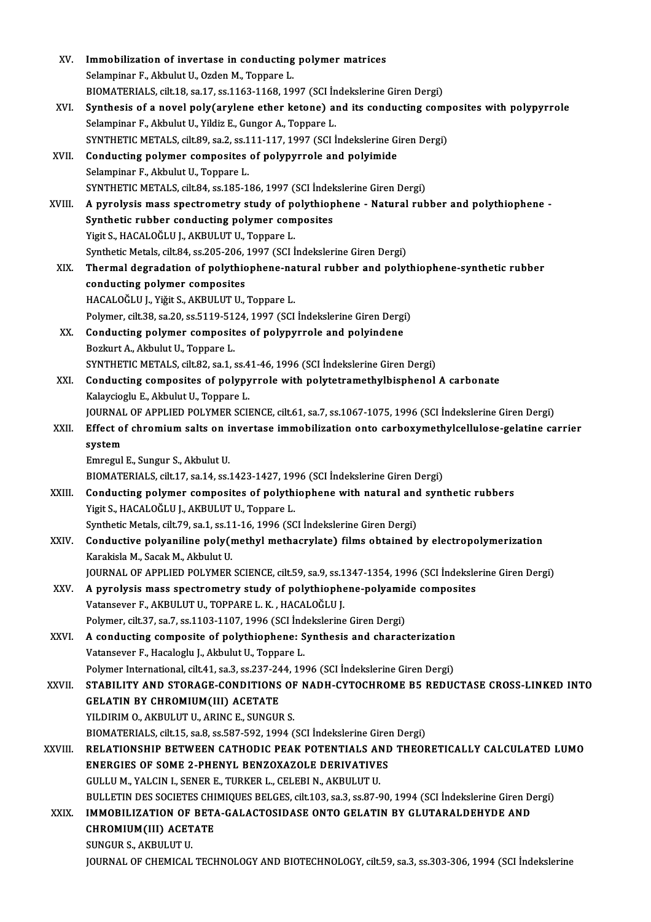| XV.     | Immobilization of invertase in conducting polymer matrices                                                                                  |
|---------|---------------------------------------------------------------------------------------------------------------------------------------------|
|         | Selampinar F., Akbulut U., Ozden M., Toppare L.                                                                                             |
|         | BIOMATERIALS, cilt.18, sa.17, ss.1163-1168, 1997 (SCI İndekslerine Giren Dergi)                                                             |
| XVI.    | Synthesis of a novel poly(arylene ether ketone) and its conducting composites with polypyrrole                                              |
|         | Selampinar F., Akbulut U., Yildiz E., Gungor A., Toppare L.                                                                                 |
|         | SYNTHETIC METALS, cilt.89, sa.2, ss.111-117, 1997 (SCI İndekslerine Giren Dergi)                                                            |
| XVII.   | Conducting polymer composites of polypyrrole and polyimide                                                                                  |
|         | Selampinar F., Akbulut U., Toppare L.                                                                                                       |
|         | SYNTHETIC METALS, cilt.84, ss.185-186, 1997 (SCI İndekslerine Giren Dergi)                                                                  |
|         |                                                                                                                                             |
| XVIII.  | A pyrolysis mass spectrometry study of polythiophene - Natural rubber and polythiophene -<br>Synthetic rubber conducting polymer composites |
|         | Yigit S., HACALOĞLU J., AKBULUT U., Toppare L.                                                                                              |
|         | Synthetic Metals, cilt.84, ss.205-206, 1997 (SCI İndekslerine Giren Dergi)                                                                  |
|         |                                                                                                                                             |
| XIX.    | Thermal degradation of polythiophene-natural rubber and polythiophene-synthetic rubber                                                      |
|         | conducting polymer composites                                                                                                               |
|         | HACALOĞLU J., Yiğit S., AKBULUT U., Toppare L.                                                                                              |
|         | Polymer, cilt.38, sa.20, ss.5119-5124, 1997 (SCI İndekslerine Giren Dergi)                                                                  |
| XX.     | Conducting polymer composites of polypyrrole and polyindene                                                                                 |
|         | Bozkurt A., Akbulut U., Toppare L.<br>SYNTHETIC METALS, cilt.82, sa.1, ss.41-46, 1996 (SCI İndekslerine Giren Dergi)                        |
| XXI.    |                                                                                                                                             |
|         | Conducting composites of polypyrrole with polytetramethylbisphenol A carbonate<br>Kalaycioglu E., Akbulut U., Toppare L.                    |
|         | JOURNAL OF APPLIED POLYMER SCIENCE, cilt.61, sa.7, ss.1067-1075, 1996 (SCI İndekslerine Giren Dergi)                                        |
| XXII.   | Effect of chromium salts on invertase immobilization onto carboxymethylcellulose-gelatine carrier                                           |
|         | system                                                                                                                                      |
|         | Emregul E., Sungur S., Akbulut U.                                                                                                           |
|         | BIOMATERIALS, cilt.17, sa.14, ss.1423-1427, 1996 (SCI İndekslerine Giren Dergi)                                                             |
| XXIII.  | Conducting polymer composites of polythiophene with natural and synthetic rubbers                                                           |
|         | Yigit S., HACALOĞLU J., AKBULUT U., Toppare L.                                                                                              |
|         | Synthetic Metals, cilt.79, sa.1, ss.11-16, 1996 (SCI Indekslerine Giren Dergi)                                                              |
| XXIV.   | Conductive polyaniline poly(methyl methacrylate) films obtained by electropolymerization                                                    |
|         | Karakisla M., Sacak M., Akbulut U.                                                                                                          |
|         | JOURNAL OF APPLIED POLYMER SCIENCE, cilt.59, sa.9, ss.1347-1354, 1996 (SCI Indekslerine Giren Dergi)                                        |
| XXV.    | A pyrolysis mass spectrometry study of polythiophene-polyamide composites                                                                   |
|         | Vatansever F., AKBULUT U., TOPPARE L. K., HACALOĞLU J.                                                                                      |
|         | Polymer, cilt.37, sa.7, ss.1103-1107, 1996 (SCI İndekslerine Giren Dergi)                                                                   |
| XXVI.   | A conducting composite of polythiophene: Synthesis and characterization                                                                     |
|         | Vatansever F., Hacaloglu J., Akbulut U., Toppare L.                                                                                         |
|         | Polymer International, cilt.41, sa.3, ss.237-244, 1996 (SCI Indekslerine Giren Dergi)                                                       |
| XXVII.  | STABILITY AND STORAGE-CONDITIONS OF NADH-CYTOCHROME B5 REDUCTASE CROSS-LINKED INTO                                                          |
|         | <b>GELATIN BY CHROMIUM(III) ACETATE</b>                                                                                                     |
|         | YILDIRIM O., AKBULUT U., ARINC E., SUNGUR S.                                                                                                |
|         | BIOMATERIALS, cilt.15, sa.8, ss.587-592, 1994 (SCI Indekslerine Giren Dergi)                                                                |
| XXVIII. | RELATIONSHIP BETWEEN CATHODIC PEAK POTENTIALS AND THEORETICALLY CALCULATED LUMO                                                             |
|         | <b>ENERGIES OF SOME 2-PHENYL BENZOXAZOLE DERIVATIVES</b>                                                                                    |
|         | GULLU M., YALCIN I., SENER E., TURKER L., CELEBI N., AKBULUT U.                                                                             |
|         | BULLETIN DES SOCIETES CHIMIQUES BELGES, cilt.103, sa.3, ss.87-90, 1994 (SCI Indekslerine Giren Dergi)                                       |
| XXIX.   | IMMOBILIZATION OF BETA-GALACTOSIDASE ONTO GELATIN BY GLUTARALDEHYDE AND                                                                     |
|         | CHROMIUM(III) ACETATE                                                                                                                       |
|         | SUNGUR S., AKBULUT U.                                                                                                                       |
|         | JOURNAL OF CHEMICAL TECHNOLOGY AND BIOTECHNOLOGY, cilt.59, sa.3, ss.303-306, 1994 (SCI İndekslerine                                         |
|         |                                                                                                                                             |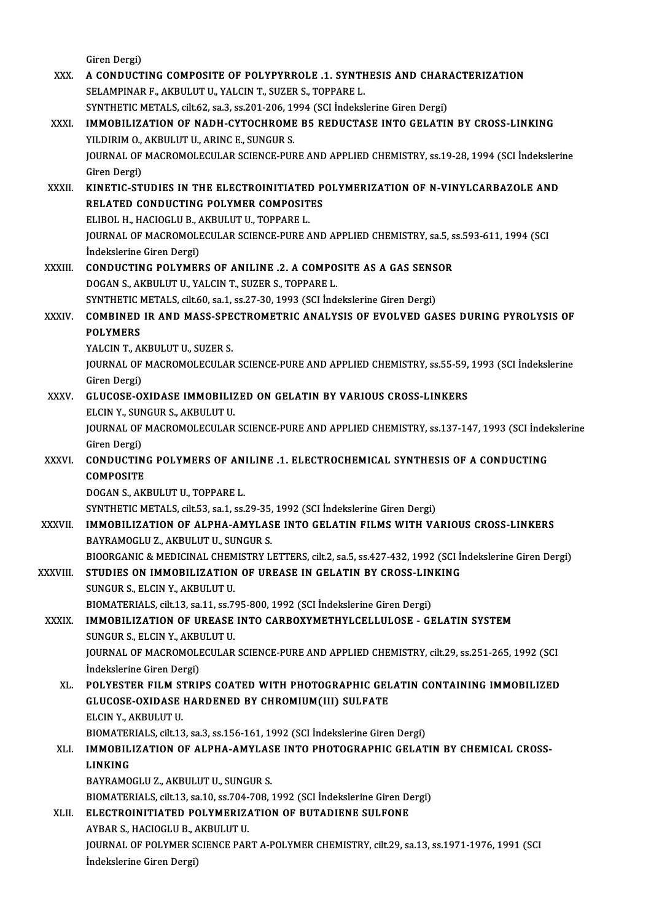Giren Dergi)

Giren Dergi)<br>XXX. A CONDUCTING COMPOSITE OF POLYPYRROLE .1. SYNTHESIS AND CHARACTERIZATION<br>SELAMPINAR E AKPULUTU VALCIN T SUZER S TOPPARE L Giren Dergi)<br>A CONDUCTING COMPOSITE OF POLYPYRROLE .1. SYNTH<br>SELAMPINAR F., AKBULUT U., YALCINT., SUZER S., TOPPARE L.<br>SYNTHETIC METALS. S<sup>ilt 62, so 2, so 201,</sup> 206, 1994. (SCLIndeltal A CONDUCTING COMPOSITE OF POLYPYRROLE .1. SYNTHESIS AND CHAR.<br>SELAMPINAR F., AKBULUT U., YALCIN T., SUZER S., TOPPARE L.<br>SYNTHETIC METALS, cilt.62, sa.3, ss.201-206, 1994 (SCI İndekslerine Giren Dergi)<br>IMMORILIZATION OF NA SELAMPINAR F., AKBULUT U., YALCIN T., SUZER S., TOPPARE L.<br>SYNTHETIC METALS, cilt.62, sa.3, ss.201-206, 1994 (SCI İndekslerine Giren Dergi)<br>XXXI. IMMOBILIZATION OF NADH-CYTOCHROME B5 REDUCTASE INTO GELATIN BY CROSS-LINKING SYNTHETIC METALS, cilt.62, sa.3, ss.201-206, 19<br>IMMOBILIZATION OF NADH-CYTOCHROME<br>YILDIRIM O., AKBULUT U., ARINC E., SUNGUR S.<br>JOUPNAL OF MACPOMOLECULAR SCIENCE PUR IMMOBILIZATION OF NADH-CYTOCHROME B5 REDUCTASE INTO GELATIN BY CROSS-LINKING<br>YILDIRIM 0., AKBULUT U., ARINC E., SUNGUR S.<br>JOURNAL OF MACROMOLECULAR SCIENCE-PURE AND APPLIED CHEMISTRY, ss.19-28, 1994 (SCI İndekslerine<br>Ciron YILDIRIM O.,<br>JOURNAL OF<br>Giren Dergi)<br>KINETIC ST JOURNAL OF MACROMOLECULAR SCIENCE-PURE AND APPLIED CHEMISTRY, ss.19-28, 1994 (SCI İndeksleri<br>Giren Dergi)<br>XXXII. KINETIC-STUDIES IN THE ELECTROINITIATED POLYMERIZATION OF N-VINYLCARBAZOLE AND Giren Dergi)<br>KINETIC-STUDIES IN THE ELECTROINITIATED POLYMERIZATION OF N-VINYLCARBAZOLE AND<br>RELATED CONDUCTING POLYMER COMPOSITES KINETIC-STUDIES IN THE ELECTROINITIATEI<br>RELATED CONDUCTING POLYMER COMPOSIT<br>ELIBOL H., HACIOGLU B., AKBULUT U., TOPPARE L.<br>JOUPMAL OF MACPOMOLECULAP SCIENCE PUPE A RELATED CONDUCTING POLYMER COMPOSITES<br>ELIBOL H., HACIOGLU B., AKBULUT U., TOPPARE L.<br>JOURNAL OF MACROMOLECULAR SCIENCE-PURE AND APPLIED CHEMISTRY, sa.5, ss.593-611, 1994 (SCI<br>Indekslerine Ciren Dergi) ELIBOL H., HACIOGLU B., A<br>JOURNAL OF MACROMOLI<br>İndekslerine Giren Dergi)<br>CONDUCTING POLYMER JOURNAL OF MACROMOLECULAR SCIENCE-PURE AND APPLIED CHEMISTRY, sa.5, s<br>
indekslerine Giren Dergi)<br>
XXXIII. CONDUCTING POLYMERS OF ANILINE .2. A COMPOSITE AS A GAS SENSOR<br>
DOCAN S. AVBULUTU VALCINT SUZER S. TORRARE I Indekslerine Giren Dergi)<br>CONDUCTING POLYMERS OF ANILINE .2. A COMPO:<br>DOGAN S., AKBULUT U., YALCIN T., SUZER S., TOPPARE L.<br>SYNTHETIC METALS silt 60 so 1 sp 27 20 1992 (SCLInd; CONDUCTING POLYMERS OF ANILINE .2. A COMPOSITE AS A GAS SENS<br>DOGAN S., AKBULUT U., YALCIN T., SUZER S., TOPPARE L.<br>SYNTHETIC METALS, cilt.60, sa.1, ss.27-30, 1993 (SCI İndekslerine Giren Dergi)<br>COMBINED IR AND MASS SRECTRO DOGAN S., AKBULUT U., YALCIN T., SUZER S., TOPPARE L.<br>SYNTHETIC METALS, cilt.60, sa.1, ss.27-30, 1993 (SCI İndekslerine Giren Dergi)<br>XXXIV. COMBINED IR AND MASS-SPECTROMETRIC ANALYSIS OF EVOLVED GASES DURING PYROLYSIS SYNTHETIC I<br>COMBINED<br>POLYMERS<br>YALCIN T. AL COMBINED IR AND MASS-SPE<br>POLYMERS<br>YALCIN T., AKBULUT U., SUZER S.<br>JOUPMAL OF MACROMOLECULAR POLYMERS<br>YALCIN T., AKBULUT U., SUZER S.<br>JOURNAL OF MACROMOLECULAR SCIENCE-PURE AND APPLIED CHEMISTRY, ss.55-59, 1993 (SCI İndekslerine<br>Ciron Dargi) YALCIN T., AH<br>JOURNAL OF<br>Giren Dergi)<br>CLUCOSE O' JOURNAL OF MACROMOLECULAR SCIENCE-PURE AND APPLIED CHEMISTRY, ss.55-59,<br>Giren Dergi)<br>XXXV. GLUCOSE-OXIDASE IMMOBILIZED ON GELATIN BY VARIOUS CROSS-LINKERS<br>ELGIN Y SUNCUR S ARBULUT U Giren Dergi)<br>XXXV. GLUCOSE-OXIDASE IMMOBILIZED ON GELATIN BY VARIOUS CROSS-LINKERS<br>ELCIN Y., SUNGUR S., AKBULUT U. GLUCOSE-OXIDASE IMMOBILIZED ON GELATIN BY VARIOUS CROSS-LINKERS<br>ELCIN Y., SUNGUR S., AKBULUT U.<br>JOURNAL OF MACROMOLECULAR SCIENCE-PURE AND APPLIED CHEMISTRY, ss.137-147, 1993 (SCI İndekslerine<br>Ciron Dorgi) ELCIN Y., SUN<br>JOURNAL OF<br>Giren Dergi)<br>CONDUCTIN JOURNAL OF MACROMOLECULAR SCIENCE-PURE AND APPLIED CHEMISTRY, ss.137-147, 1993 (SCI Indei<br>Giren Dergi)<br>XXXVI. CONDUCTING POLYMERS OF ANILINE .1. ELECTROCHEMICAL SYNTHESIS OF A CONDUCTING<br>COMPOSITE Giren Dergi)<br>CONDUCTIN<br>COMPOSITE<br>DOCAN S. AV **CONDUCTING POLYMERS OF AN.<br>COMPOSITE<br>DOGAN S., AKBULUT U., TOPPARE L.<br>SYNTHETIC METALS silt 52, 2014 SC.** COMPOSITE<br>DOGAN S., AKBULUT U., TOPPARE L.<br>SYNTHETIC METALS, cilt.53, sa.1, ss.29-35, 1992 (SCI İndekslerine Giren Dergi)<br>IMMORILIZATION OF ALPHA AMYLASE INTO CELATIN ELLMS WITH VA DOGAN S., AKBULUT U., TOPPARE L.<br>SYNTHETIC METALS, cilt.53, sa.1, ss.29-35, 1992 (SCI İndekslerine Giren Dergi)<br>XXXVII. **IMMOBILIZATION OF ALPHA-AMYLASE INTO GELATIN FILMS WITH VARIOUS CROSS-LINKERS**<br>BAYRAMOGLU Z., AKB SYNTHETIC METALS, cilt.53, sa.1, ss.29-35,<br>IMMOBILIZATION OF ALPHA-AMYLAS<br>BAYRAMOGLU Z., AKBULUT U., SUNGUR S.<br>PIOORCANIC & MEDICINAL CHEMISTRY I IMMOBILIZATION OF ALPHA-AMYLASE INTO GELATIN FILMS WITH VARIOUS CROSS-LINKERS<br>BAYRAMOGLU Z., AKBULUT U., SUNGUR S.<br>BIOORGANIC & MEDICINAL CHEMISTRY LETTERS, cilt.2, sa.5, ss.427-432, 1992 (SCI İndekslerine Giren Dergi)<br>STU BAYRAMOGLU Z., AKBULUT U., SUNGUR S.<br>BIOORGANIC & MEDICINAL CHEMISTRY LETTERS, cilt.2, sa.5, ss.427-432, 1992 (SCI İn<br>XXXVIII. STUDIES ON IMMOBILIZATION OF UREASE IN GELATIN BY CROSS-LINKING BIOORGANIC & MEDICINAL CHEM<br>STUDIES ON IMMOBILIZATION<br>SUNGUR S., ELCIN Y., AKBULUT U.<br>BIOMATERIALS cilt 12 co 11 co 7 STUDIES ON IMMOBILIZATION OF UREASE IN GELATIN BY CROSS-LIN<br>SUNGUR S., ELCIN Y., AKBULUT U.<br>BIOMATERIALS, cilt.13, sa.11, ss.795-800, 1992 (SCI İndekslerine Giren Dergi)<br>IMMOBILIZATION OF UREASE INTO CARBOYVMETUVI CELLIU O SUNGUR S., ELCIN Y., AKBULUT U.<br>BIOMATERIALS, cilt.13, sa.11, ss.795-800, 1992 (SCI Indekslerine Giren Dergi)<br>XXXIX. IMMOBILIZATION OF UREASE INTO CARBOXYMETHYLCELLULOSE - GELATIN SYSTEM<br>SUNGUR S., ELCIN Y., AKBULUT U. BIOMATERIALS, cilt.13, sa.11, ss.7<br>**IMMOBILIZATION OF UREASE**<br>SUNGUR S., ELCIN Y., AKBULUT U.<br>JOUPNAL OF MACPOMOLECIU AP IMMOBILIZATION OF UREASE INTO CARBOXYMETHYLCELLULOSE - GELATIN SYSTEM<br>SUNGUR S., ELCIN Y., AKBULUT U.<br>JOURNAL OF MACROMOLECULAR SCIENCE-PURE AND APPLIED CHEMISTRY, cilt.29, ss.251-265, 1992 (SCI<br>Indekslerine Ciren Dergi) SUNGUR S., ELCIN Y., AKBI<br>JOURNAL OF MACROMOLI<br>İndekslerine Giren Dergi)<br>POI VESTEP EII M STPII JOURNAL OF MACROMOLECULAR SCIENCE-PURE AND APPLIED CHEMISTRY, cilt.29, ss.251-265, 1992 (SCI<br>indekslerine Giren Dergi)<br>XL. POLYESTER FILM STRIPS COATED WITH PHOTOGRAPHIC GELATIN CONTAINING IMMOBILIZED<br>CLUCOSE OVIDASE HAPDE İndekslerine Giren Dergi)<br>POLYESTER FILM STRIPS COATED WITH PHOTOGRAPHIC GEL<br>GLUCOSE-OXIDASE HARDENED BY CHROMIUM(III) SULFATE<br>ELCIN X. AKRULUT U POLYESTER FILM ST<br>GLUCOSE-OXIDASE<br>ELCIN Y., AKBULUT U.<br>PIOMATERIALS silt 13 GLUCOSE-OXIDASE HARDENED BY CHROMIUM(III) SULFATE<br>ELCIN Y., AKBULUT U.<br>BIOMATERIALS, cilt.13, sa.3, ss.156-161, 1992 (SCI İndekslerine Giren Dergi)<br>IMMORILIZATION OF ALBHA AMYLASE INTO BHOTOCRABHIC CELAT ELCIN Y., AKBULUT U.<br>BIOMATERIALS, cilt.13, sa.3, ss.156-161, 1992 (SCI İndekslerine Giren Dergi)<br>XLI. IMMOBILIZATION OF ALPHA-AMYLASE INTO PHOTOGRAPHIC GELATIN BY CHEMICAL CROSS-BIOMATER<br>I<mark>MMOBIL</mark><br>LINKING<br>PAVPAMO IMMOBILIZATION OF ALPHA-AMYLAS<br>LINKING<br>BAYRAMOGLU Z., AKBULUT U., SUNGUR S.<br>PIOMATERIALS. silt 13, se 10, se 704, 709, s LINKING<br>BAYRAMOGLU Z., AKBULUT U., SUNGUR S.<br>BIOMATERIALS, cilt.13, sa.10, ss.704-708, 1992 (SCI İndekslerine Giren Dergi) BAYRAMOGLU Z., AKBULUT U., SUNGUR S.<br>BIOMATERIALS, cilt.13, sa.10, ss.704-708, 1992 (SCI Indekslerine Giren De<br>XLII. ELECTROINITIATED POLYMERIZATION OF BUTADIENE SULFONE<br>AYBAR S. HACIOCLU B. AKBULUT U. BIOMATERIALS, cilt.13, sa.10, ss.704-<br>ELECTROINITIATED POLYMERIZ/<br>AYBAR S., HACIOGLU B., AKBULUT U.<br>JOUPNAL OF POLYMER SCIENCE BAR ELECTROINITIATED POLYMERIZATION OF BUTADIENE SULFONE<br>AYBAR S., HACIOGLU B., AKBULUT U.<br>JOURNAL OF POLYMER SCIENCE PART A-POLYMER CHEMISTRY, cilt.29, sa.13, ss.1971-1976, 1991 (SCI<br>Indekalarine Ciren Dergi). AYBAR S., HACIOGLU B., A<br>JOURNAL OF POLYMER S<br>İndekslerine Giren Dergi)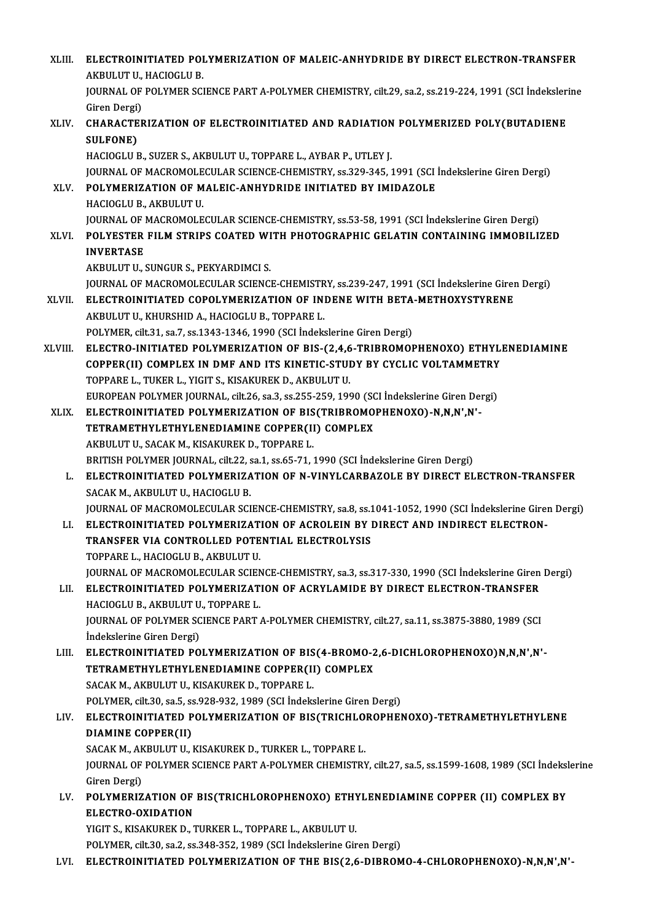| XLIII.      | ELECTROINITIATED POLYMERIZATION OF MALEIC-ANHYDRIDE BY DIRECT ELECTRON-TRANSFER                                                           |
|-------------|-------------------------------------------------------------------------------------------------------------------------------------------|
|             | AKBULUT U, HACIOGLU B.                                                                                                                    |
|             | JOURNAL OF POLYMER SCIENCE PART A-POLYMER CHEMISTRY, cilt.29, sa.2, ss.219-224, 1991 (SCI İndekslerine                                    |
|             | Giren Dergi)                                                                                                                              |
| XLIV.       | CHARACTERIZATION OF ELECTROINITIATED AND RADIATION POLYMERIZED POLY(BUTADIENE                                                             |
|             | <b>SULFONE)</b>                                                                                                                           |
|             | HACIOGLU B., SUZER S., AKBULUT U., TOPPARE L., AYBAR P., UTLEY J.                                                                         |
|             | JOURNAL OF MACROMOLECULAR SCIENCE-CHEMISTRY, ss.329-345, 1991 (SCI Indekslerine Giren Dergi)                                              |
| XLV.        | POLYMERIZATION OF MALEIC-ANHYDRIDE INITIATED BY IMIDAZOLE                                                                                 |
|             | HACIOGLU B, AKBULUT U                                                                                                                     |
|             | JOURNAL OF MACROMOLECULAR SCIENCE-CHEMISTRY, ss.53-58, 1991 (SCI İndekslerine Giren Dergi)                                                |
| XLVI.       | POLYESTER FILM STRIPS COATED WITH PHOTOGRAPHIC GELATIN CONTAINING IMMOBILIZED                                                             |
|             | <b>INVERTASE</b>                                                                                                                          |
|             | AKBULUT U., SUNGUR S., PEKYARDIMCI S.                                                                                                     |
|             | JOURNAL OF MACROMOLECULAR SCIENCE-CHEMISTRY, ss.239-247, 1991 (SCI Indekslerine Giren Dergi)                                              |
| XLVII.      | ELECTROINITIATED COPOLYMERIZATION OF INDENE WITH BETA-METHOXYSTYRENE                                                                      |
|             | AKBULUT U., KHURSHID A., HACIOGLU B., TOPPARE L.                                                                                          |
|             | POLYMER, cilt 31, sa.7, ss.1343-1346, 1990 (SCI Indekslerine Giren Dergi)                                                                 |
| XLVIII.     | ELECTRO-INITIATED POLYMERIZATION OF BIS-(2,4,6-TRIBROMOPHENOXO) ETHYLENEDIAMINE                                                           |
|             | COPPER(II) COMPLEX IN DMF AND ITS KINETIC-STUDY BY CYCLIC VOLTAMMETRY                                                                     |
|             | TOPPARE L., TUKER L., YIGIT S., KISAKUREK D., AKBULUT U.                                                                                  |
|             | EUROPEAN POLYMER JOURNAL, cilt.26, sa.3, ss.255-259, 1990 (SCI İndekslerine Giren Dergi)                                                  |
| <b>XLIX</b> | ELECTROINITIATED POLYMERIZATION OF BIS(TRIBROMOPHENOXO)-N,N,N',N'-                                                                        |
|             | TETRAMETHYLETHYLENEDIAMINE COPPER(II) COMPLEX                                                                                             |
|             | AKBULUT U., SACAK M., KISAKUREK D., TOPPARE L.                                                                                            |
|             | BRITISH POLYMER JOURNAL, cilt.22, sa.1, ss.65-71, 1990 (SCI İndekslerine Giren Dergi)                                                     |
| L.          | ELECTROINITIATED POLYMERIZATION OF N-VINYLCARBAZOLE BY DIRECT ELECTRON-TRANSFER                                                           |
|             | SACAK M. AKBULUT U., HACIOGLU B.                                                                                                          |
|             | JOURNAL OF MACROMOLECULAR SCIENCE-CHEMISTRY, sa.8, ss.1041-1052, 1990 (SCI İndekslerine Giren Dergi)                                      |
| LI.         | ELECTROINITIATED POLYMERIZATION OF ACROLEIN BY DIRECT AND INDIRECT ELECTRON-                                                              |
|             | TRANSFER VIA CONTROLLED POTENTIAL ELECTROLYSIS                                                                                            |
|             | TOPPARE L., HACIOGLU B., AKBULUT U.<br>JOURNAL OF MACROMOLECULAR SCIENCE-CHEMISTRY, sa.3, ss.317-330, 1990 (SCI Indekslerine Giren Dergi) |
| LII.        | ELECTROINITIATED POLYMERIZATION OF ACRYLAMIDE BY DIRECT ELECTRON-TRANSFER                                                                 |
|             | HACIOGLU B., AKBULUT U., TOPPARE L.                                                                                                       |
|             | JOURNAL OF POLYMER SCIENCE PART A-POLYMER CHEMISTRY, cilt.27, sa.11, ss.3875-3880, 1989 (SCI                                              |
|             | İndekslerine Giren Dergi)                                                                                                                 |
| LIII.       | ELECTROINITIATED POLYMERIZATION OF BIS(4-BROMO-2,6-DICHLOROPHENOXO)N,N,N',N'-                                                             |
|             | TETRAMETHYLETHYLENEDIAMINE COPPER(II) COMPLEX                                                                                             |
|             | SACAK M., AKBULUT U., KISAKUREK D., TOPPARE L.                                                                                            |
|             | POLYMER, cilt.30, sa.5, ss.928-932, 1989 (SCI İndekslerine Giren Dergi)                                                                   |
| LIV.        | ELECTROINITIATED POLYMERIZATION OF BIS(TRICHLOROPHENOXO)-TETRAMETHYLETHYLENE                                                              |
|             | DIAMINE COPPER(II)                                                                                                                        |
|             | SACAK M., AKBULUT U., KISAKUREK D., TURKER L., TOPPARE L.                                                                                 |
|             | JOURNAL OF POLYMER SCIENCE PART A-POLYMER CHEMISTRY, cilt.27, sa.5, ss.1599-1608, 1989 (SCI İndekslerine                                  |
|             | Giren Dergi)                                                                                                                              |
| LV.         | POLYMERIZATION OF BIS(TRICHLOROPHENOXO) ETHYLENEDIAMINE COPPER (II) COMPLEX BY                                                            |
|             | ELECTRO-OXIDATION                                                                                                                         |
|             | YIGIT S., KISAKUREK D., TURKER L., TOPPARE L., AKBULUT U.                                                                                 |
|             | POLYMER, cilt.30, sa.2, ss.348-352, 1989 (SCI Indekslerine Giren Dergi)                                                                   |
| LVI.        | ELECTROINITIATED POLYMERIZATION OF THE BIS(2,6-DIBROMO-4-CHLOROPHENOXO)-N,N,N',N'-                                                        |
|             |                                                                                                                                           |